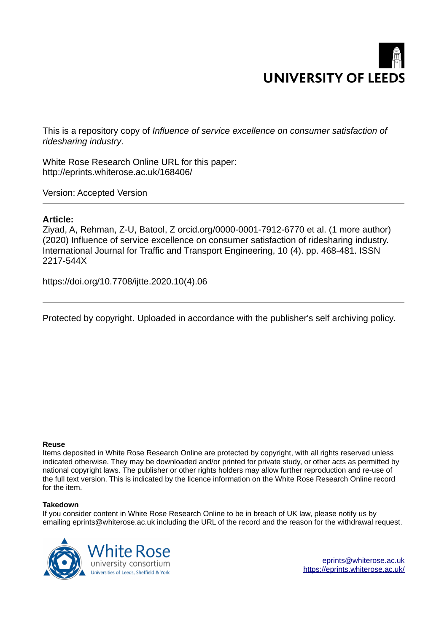

This is a repository copy of *Influence of service excellence on consumer satisfaction of ridesharing industry*.

White Rose Research Online URL for this paper: http://eprints.whiterose.ac.uk/168406/

Version: Accepted Version

# **Article:**

Ziyad, A, Rehman, Z-U, Batool, Z orcid.org/0000-0001-7912-6770 et al. (1 more author) (2020) Influence of service excellence on consumer satisfaction of ridesharing industry. International Journal for Traffic and Transport Engineering, 10 (4). pp. 468-481. ISSN 2217-544X

https://doi.org/10.7708/ijtte.2020.10(4).06

Protected by copyright. Uploaded in accordance with the publisher's self archiving policy.

# **Reuse**

Items deposited in White Rose Research Online are protected by copyright, with all rights reserved unless indicated otherwise. They may be downloaded and/or printed for private study, or other acts as permitted by national copyright laws. The publisher or other rights holders may allow further reproduction and re-use of the full text version. This is indicated by the licence information on the White Rose Research Online record for the item.

# **Takedown**

If you consider content in White Rose Research Online to be in breach of UK law, please notify us by emailing eprints@whiterose.ac.uk including the URL of the record and the reason for the withdrawal request.



eprints@whiterose.ac.uk https://eprints.whiterose.ac.uk/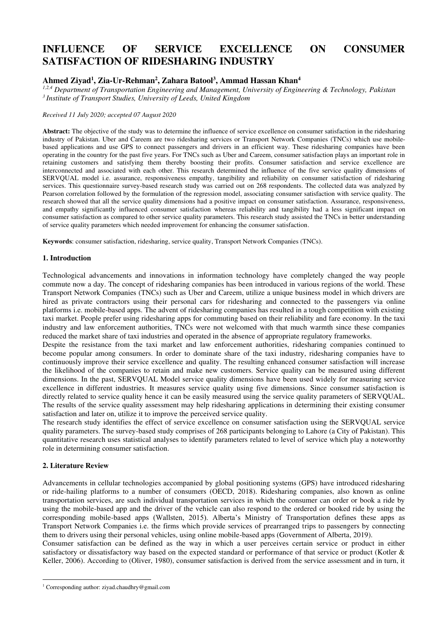# **INFLUENCE OF SERVICE EXCELLENCE ON CONSUMER SATISFACTION OF RIDESHARING INDUSTRY**

# **Ahmed Ziyad<sup>1</sup> , Zia-Ur-Rehman<sup>2</sup> , Zahara Batool<sup>3</sup> , Ammad Hassan Khan<sup>4</sup>**

*1,2,4 Department of Transportation Engineering and Management, University of Engineering & Technology, Pakistan <sup>3</sup>Institute of Transport Studies, University of Leeds, United Kingdom* 

*Received 11 July 2020; accepted 07 August 2020* 

**Abstract:** The objective of the study was to determine the influence of service excellence on consumer satisfaction in the ridesharing industry of Pakistan. Uber and Careem are two ridesharing services or Transport Network Companies (TNCs) which use mobilebased applications and use GPS to connect passengers and drivers in an efficient way. These ridesharing companies have been operating in the country for the past five years. For TNCs such as Uber and Careem, consumer satisfaction plays an important role in retaining customers and satisfying them thereby boosting their profits. Consumer satisfaction and service excellence are interconnected and associated with each other. This research determined the influence of the five service quality dimensions of SERVQUAL model i.e. assurance, responsiveness empathy, tangibility and reliability on consumer satisfaction of ridesharing services. This questionnaire survey-based research study was carried out on 268 respondents. The collected data was analyzed by Pearson correlation followed by the formulation of the regression model, associating consumer satisfaction with service quality. The research showed that all the service quality dimensions had a positive impact on consumer satisfaction. Assurance, responsiveness, and empathy significantly influenced consumer satisfaction whereas reliability and tangibility had a less significant impact on consumer satisfaction as compared to other service quality parameters. This research study assisted the TNCs in better understanding of service quality parameters which needed improvement for enhancing the consumer satisfaction.

**Keywords**: consumer satisfaction, ridesharing, service quality, Transport Network Companies (TNCs).

# **1. Introduction**

Technological advancements and innovations in information technology have completely changed the way people commute now a day. The concept of ridesharing companies has been introduced in various regions of the world. These Transport Network Companies (TNCs) such as Uber and Careem, utilize a unique business model in which drivers are hired as private contractors using their personal cars for ridesharing and connected to the passengers via online platforms i.e. mobile-based apps. The advent of ridesharing companies has resulted in a tough competition with existing taxi market. People prefer using ridesharing apps for commuting based on their reliability and fare economy. In the taxi industry and law enforcement authorities, TNCs were not welcomed with that much warmth since these companies reduced the market share of taxi industries and operated in the absence of appropriate regulatory frameworks.

Despite the resistance from the taxi market and law enforcement authorities, ridesharing companies continued to become popular among consumers. In order to dominate share of the taxi industry, ridesharing companies have to continuously improve their service excellence and quality. The resulting enhanced consumer satisfaction will increase the likelihood of the companies to retain and make new customers. Service quality can be measured using different dimensions. In the past, SERVQUAL Model service quality dimensions have been used widely for measuring service excellence in different industries. It measures service quality using five dimensions. Since consumer satisfaction is directly related to service quality hence it can be easily measured using the service quality parameters of SERVQUAL. The results of the service quality assessment may help ridesharing applications in determining their existing consumer satisfaction and later on, utilize it to improve the perceived service quality.

The research study identifies the effect of service excellence on consumer satisfaction using the SERVQUAL service quality parameters. The survey-based study comprises of 268 participants belonging to Lahore (a City of Pakistan). This quantitative research uses statistical analyses to identify parameters related to level of service which play a noteworthy role in determining consumer satisfaction.

# **2. Literature Review**

Advancements in cellular technologies accompanied by global positioning systems (GPS) have introduced ridesharing or ride-hailing platforms to a number of consumers (OECD, 2018). Ridesharing companies, also known as online transportation services, are such individual transportation services in which the consumer can order or book a ride by using the mobile-based app and the driver of the vehicle can also respond to the ordered or booked ride by using the corresponding mobile-based apps (Wallsten, 2015). Alberta's Ministry of Transportation defines these apps as Transport Network Companies i.e. the firms which provide services of prearranged trips to passengers by connecting them to drivers using their personal vehicles, using online mobile-based apps (Government of Alberta, 2019).

Consumer satisfaction can be defined as the way in which a user perceives certain service or product in either satisfactory or dissatisfactory way based on the expected standard or performance of that service or product (Kotler & Keller, 2006). According to (Oliver, 1980), consumer satisfaction is derived from the service assessment and in turn, it

<sup>&</sup>lt;sup>1</sup> Corresponding author: ziyad.chaudhry@gmail.com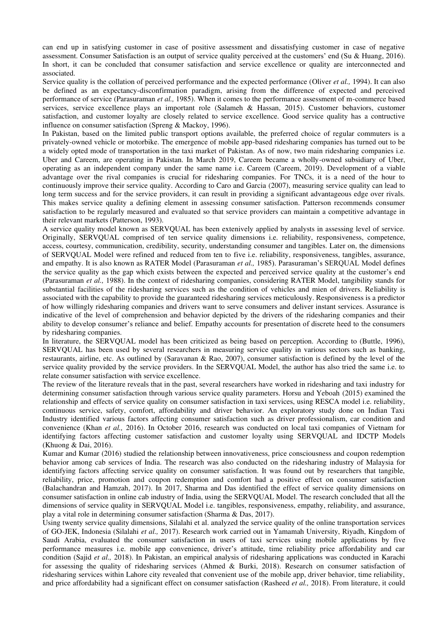can end up in satisfying customer in case of positive assessment and dissatisfying customer in case of negative assessment. Consumer Satisfaction is an output of service quality perceived at the customers' end (Su & Huang, 2016). In short, it can be concluded that consumer satisfaction and service excellence or quality are interconnected and associated.

Service quality is the collation of perceived performance and the expected performance (Oliver *et al.,* 1994). It can also be defined as an expectancy-disconfirmation paradigm, arising from the difference of expected and perceived performance of service (Parasuraman *et al.,* 1985). When it comes to the performance assessment of m-commerce based services, service excellence plays an important role (Salameh & Hassan, 2015). Customer behaviors, customer satisfaction, and customer loyalty are closely related to service excellence. Good service quality has a contructive influence on consumer satisfaction (Spreng & Mackoy, 1996).

In Pakistan, based on the limited public transport options available, the preferred choice of regular commuters is a privately-owned vehicle or motorbike. The emergence of mobile app-based ridesharing companies has turned out to be a widely opted mode of transportation in the taxi market of Pakistan. As of now, two main ridesharing companies i.e. Uber and Careem, are operating in Pakistan. In March 2019, Careem became a wholly-owned subsidiary of Uber, operating as an independent company under the same name i.e. Careem (Careem, 2019). Development of a viable advantage over the rival companies is crucial for ridesharing companies. For TNCs, it is a need of the hour to continuously improve their service quality. According to Caro and Garcia (2007), measuring service quality can lead to long term success and for the service providers, it can result in providing a significant advantageous edge over rivals. This makes service quality a defining element in assessing consumer satisfaction. Patterson recommends consumer satisfaction to be regularly measured and evaluated so that service providers can maintain a competitive advantage in their relevant markets (Patterson, 1993).

A service quality model known as SERVQUAL has been extenively applied by analysts in assessing level of service. Originally, SERVQUAL comprised of ten service quality dimensions i.e. reliability, responsiveness, competence, access, courtesy, communication, credibility, security, understanding consumer and tangibles. Later on, the dimensions of SERVQUAL Model were refined and reduced from ten to five i.e. reliability, responsiveness, tangibles, assurance, and empathy. It is also known as RATER Model (Parasuraman *et al.,* 1985). Parasuraman's SERQUAL Model defines the service quality as the gap which exists between the expected and perceived service quality at the customer's end (Parasuraman *et al.,* 1988). In the context of ridesharing companies, considering RATER Model, tangibility stands for substantial facilities of the ridesharing services such as the condition of vehicles and mien of drivers. Reliability is associated with the capability to provide the guaranteed ridesharing services meticulously. Responsiveness is a predictor of how willingly ridesharing companies and drivers want to serve consumers and deliver instant services. Assurance is indicative of the level of comprehension and behavior depicted by the drivers of the ridesharing companies and their ability to develop consumer's reliance and belief. Empathy accounts for presentation of discrete heed to the consumers by ridesharing companies.

In literature, the SERVQUAL model has been criticized as being based on perception. According to (Buttle, 1996), SERVQUAL has been used by several researchers in measuring service quality in various sectors such as banking, restaurants, airline, etc. As outlined by (Saravanan & Rao, 2007), consumer satisfaction is defined by the level of the service quality provided by the service providers. In the SERVQUAL Model, the author has also tried the same i.e. to relate consumer satisfaction with service excellence.

The review of the literature reveals that in the past, several researchers have worked in ridesharing and taxi industry for determining consumer satisfaction through various service quality parameters. Horsu and Yeboah (2015) examined the relationship and effects of service quality on consumer satisfaction in taxi services, using RESCA model i.e. reliability, continuous service, safety, comfort, affordability and driver behavior. An exploratory study done on Indian Taxi Industry identified various factors affecting consumer satisfaction such as driver professionalism, car condition and convenience (Khan *et al.,* 2016). In October 2016, research was conducted on local taxi companies of Vietnam for identifying factors affecting customer satisfaction and customer loyalty using SERVQUAL and IDCTP Models (Khuong & Dai, 2016).

Kumar and Kumar (2016) studied the relationship between innovativeness, price consciousness and coupon redemption behavior among cab services of India. The research was also conducted on the ridesharing industry of Malaysia for identifying factors affecting service quality on consumer satisfaction. It was found out by researchers that tangible, reliability, price, promotion and coupon redemption and comfort had a positive effect on consumer satisfaction (Balachandran and Hamzah, 2017). In 2017, Sharma and Das identified the effect of service quality dimensions on consumer satisfaction in online cab industry of India, using the SERVQUAL Model. The research concluded that all the dimensions of service quality in SERVQUAL Model i.e. tangibles, responsiveness, empathy, reliability, and assurance, play a vital role in determining consumer satisfaction (Sharma & Das, 2017).

Using twenty service quality dimensions, Silalahi et al. analyzed the service quality of the online transportation services of GO-JEK, Indonesia (Silalahi *et al.,* 2017). Research work carried out in Yamamah University, Riyadh, Kingdom of Saudi Arabia, evaluated the consumer satisfaction in users of taxi services using mobile applications by five performance measures i.e. mobile app convenience, driver's attitude, time reliability price affordability and car condition (Sajid *et al.,* 2018). In Pakistan, an empirical analysis of ridesharing applications was conducted in Karachi for assessing the quality of ridesharing services (Ahmed & Burki, 2018). Research on consumer satisfaction of ridesharing services within Lahore city revealed that convenient use of the mobile app, driver behavior, time reliability, and price affordability had a significant effect on consumer satisfaction (Rasheed *et al.,* 2018). From literature, it could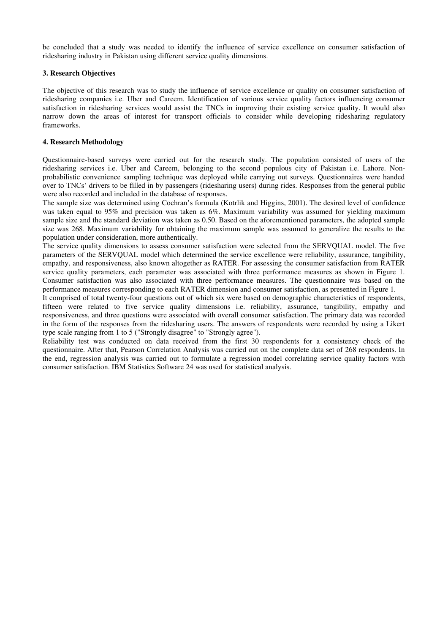be concluded that a study was needed to identify the influence of service excellence on consumer satisfaction of ridesharing industry in Pakistan using different service quality dimensions.

# **3. Research Objectives**

The objective of this research was to study the influence of service excellence or quality on consumer satisfaction of ridesharing companies i.e. Uber and Careem. Identification of various service quality factors influencing consumer satisfaction in ridesharing services would assist the TNCs in improving their existing service quality. It would also narrow down the areas of interest for transport officials to consider while developing ridesharing regulatory frameworks.

# **4. Research Methodology**

Questionnaire-based surveys were carried out for the research study. The population consisted of users of the ridesharing services i.e. Uber and Careem, belonging to the second populous city of Pakistan i.e. Lahore. Nonprobabilistic convenience sampling technique was deployed while carrying out surveys. Questionnaires were handed over to TNCs' drivers to be filled in by passengers (ridesharing users) during rides. Responses from the general public were also recorded and included in the database of responses.

The sample size was determined using Cochran's formula (Kotrlik and Higgins, 2001). The desired level of confidence was taken equal to 95% and precision was taken as 6%. Maximum variability was assumed for yielding maximum sample size and the standard deviation was taken as 0.50. Based on the aforementioned parameters, the adopted sample size was 268. Maximum variability for obtaining the maximum sample was assumed to generalize the results to the population under consideration, more authentically.

The service quality dimensions to assess consumer satisfaction were selected from the SERVQUAL model. The five parameters of the SERVQUAL model which determined the service excellence were reliability, assurance, tangibility, empathy, and responsiveness, also known altogether as RATER. For assessing the consumer satisfaction from RATER service quality parameters, each parameter was associated with three performance measures as shown in Figure 1. Consumer satisfaction was also associated with three performance measures. The questionnaire was based on the performance measures corresponding to each RATER dimension and consumer satisfaction, as presented in Figure 1.

It comprised of total twenty-four questions out of which six were based on demographic characteristics of respondents, fifteen were related to five service quality dimensions i.e. reliability, assurance, tangibility, empathy and responsiveness, and three questions were associated with overall consumer satisfaction. The primary data was recorded in the form of the responses from the ridesharing users. The answers of respondents were recorded by using a Likert type scale ranging from 1 to 5 ("Strongly disagree" to "Strongly agree").

Reliability test was conducted on data received from the first 30 respondents for a consistency check of the questionnaire. After that, Pearson Correlation Analysis was carried out on the complete data set of 268 respondents. In the end, regression analysis was carried out to formulate a regression model correlating service quality factors with consumer satisfaction. IBM Statistics Software 24 was used for statistical analysis.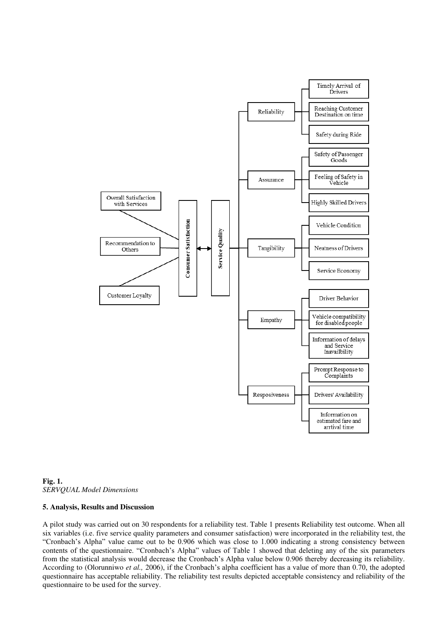



#### **5. Analysis, Results and Discussion**

A pilot study was carried out on 30 respondents for a reliability test. Table 1 presents Reliability test outcome. When all six variables (i.e. five service quality parameters and consumer satisfaction) were incorporated in the reliability test, the "Cronbach's Alpha" value came out to be 0.906 which was close to 1.000 indicating a strong consistency between contents of the questionnaire. "Cronbach's Alpha" values of Table 1 showed that deleting any of the six parameters from the statistical analysis would decrease the Cronbach's Alpha value below 0.906 thereby decreasing its reliability. According to (Olorunniwo *et al.,* 2006), if the Cronbach's alpha coefficient has a value of more than 0.70, the adopted questionnaire has acceptable reliability. The reliability test results depicted acceptable consistency and reliability of the questionnaire to be used for the survey.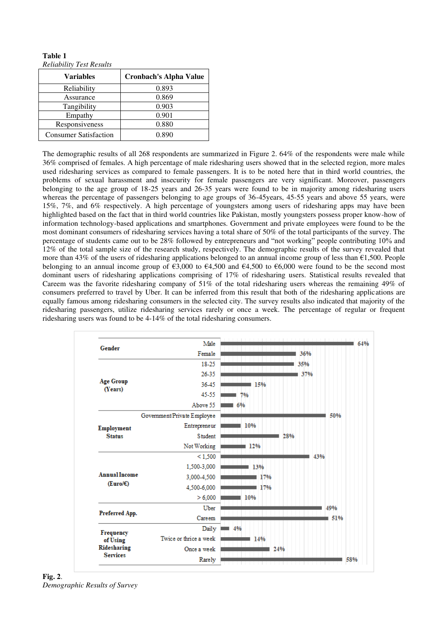#### **Table 1**  *Reliability Test Results*

| <b>Variables</b>             | <b>Cronbach's Alpha Value</b> |
|------------------------------|-------------------------------|
| Reliability                  | 0.893                         |
| Assurance                    | 0.869                         |
| Tangibility                  | 0.903                         |
| Empathy                      | 0.901                         |
| Responsiveness               | 0.880                         |
| <b>Consumer Satisfaction</b> | 0.890                         |

The demographic results of all 268 respondents are summarized in Figure 2. 64% of the respondents were male while 36% comprised of females. A high percentage of male ridesharing users showed that in the selected region, more males used ridesharing services as compared to female passengers. It is to be noted here that in third world countries, the problems of sexual harassment and insecurity for female passengers are very significant. Moreover, passengers belonging to the age group of 18-25 years and 26-35 years were found to be in majority among ridesharing users whereas the percentage of passengers belonging to age groups of 36-45 years, 45-55 years and above 55 years, were 15%, 7%, and 6% respectively. A high percentage of youngsters among users of ridesharing apps may have been highlighted based on the fact that in third world countries like Pakistan, mostly youngsters possess proper know-how of information technology-based applications and smartphones. Government and private employees were found to be the most dominant consumers of ridesharing services having a total share of 50% of the total participants of the survey. The percentage of students came out to be 28% followed by entrepreneurs and "not working" people contributing 10% and 12% of the total sample size of the research study, respectively. The demographic results of the survey revealed that more than 43% of the users of ridesharing applications belonged to an annual income group of less than  $\epsilon$ 1,500. People belonging to an annual income group of €3,000 to €4,500 and €4,500 to €6,000 were found to be the second most dominant users of ridesharing applications comprising of 17% of ridesharing users. Statistical results revealed that Careem was the favorite ridesharing company of 51% of the total ridesharing users whereas the remaining 49% of consumers preferred to travel by Uber. It can be inferred from this result that both of the ridesharing applications are equally famous among ridesharing consumers in the selected city. The survey results also indicated that majority of the ridesharing passengers, utilize ridesharing services rarely or once a week. The percentage of regular or frequent ridesharing users was found to be 4-14% of the total ridesharing consumers.

| Gender               | Male                        |     |     |
|----------------------|-----------------------------|-----|-----|
|                      | Female                      | 36% |     |
|                      | 18-25                       | 35% |     |
|                      | 26-35                       | 37% |     |
| <b>Age Group</b>     | 36-45                       | 15% |     |
| (Years)              | 45-55                       | 7%  |     |
|                      | Above 55                    | 6%  |     |
|                      | Government/Private Employee |     | 50% |
| Employment           | Entrepreneur                | 10% |     |
| <b>Status</b>        | <b>Student</b>              | 28% |     |
|                      | Not Working                 | 12% |     |
|                      | < 1,500                     |     | 43% |
|                      | 1,500-3,000                 | 13% |     |
| <b>Annual Income</b> | 3,000-4,500                 | 17% |     |
| (Euro/E)             | 4,500-6,000                 | 17% |     |
|                      | > 6,000                     | 10% |     |
|                      | Uber                        |     | 49% |
| Preferred App.       | Careem                      |     | 51% |
| Frequency            | Daily                       | 4%  |     |
| of Using             | Twice or thrice a week      | 14% |     |
| Ridesharing          | Once a week                 | 24% |     |
| <b>Services</b>      | Rarely                      |     | 58% |

**Fig. 2**. *Demographic Results of Survey*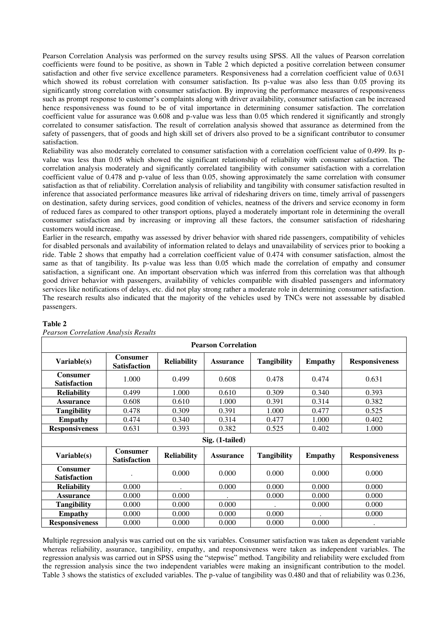Pearson Correlation Analysis was performed on the survey results using SPSS. All the values of Pearson correlation coefficients were found to be positive, as shown in Table 2 which depicted a positive correlation between consumer satisfaction and other five service excellence parameters. Responsiveness had a correlation coefficient value of 0.631 which showed its robust correlation with consumer satisfaction. Its p-value was also less than 0.05 proving its significantly strong correlation with consumer satisfaction. By improving the performance measures of responsiveness such as prompt response to customer's complaints along with driver availability, consumer satisfaction can be increased hence responsiveness was found to be of vital importance in determining consumer satisfaction. The correlation coefficient value for assurance was 0.608 and p-value was less than 0.05 which rendered it significantly and strongly correlated to consumer satisfaction. The result of correlation analysis showed that assurance as determined from the safety of passengers, that of goods and high skill set of drivers also proved to be a significant contributor to consumer satisfaction.

Reliability was also moderately correlated to consumer satisfaction with a correlation coefficient value of 0.499. Its pvalue was less than 0.05 which showed the significant relationship of reliability with consumer satisfaction. The correlation analysis moderately and significantly correlated tangibility with consumer satisfaction with a correlation coefficient value of 0.478 and p-value of less than 0.05, showing approximately the same correlation with consumer satisfaction as that of reliability. Correlation analysis of reliability and tangibility with consumer satisfaction resulted in inference that associated performance measures like arrival of ridesharing drivers on time, timely arrival of passengers on destination, safety during services, good condition of vehicles, neatness of the drivers and service economy in form of reduced fares as compared to other transport options, played a moderately important role in determining the overall consumer satisfaction and by increasing or improving all these factors, the consumer satisfaction of ridesharing customers would increase.

Earlier in the research, empathy was assessed by driver behavior with shared ride passengers, compatibility of vehicles for disabled personals and availability of information related to delays and unavailability of services prior to booking a ride. Table 2 shows that empathy had a correlation coefficient value of 0.474 with consumer satisfaction, almost the same as that of tangibility. Its p-value was less than 0.05 which made the correlation of empathy and consumer satisfaction, a significant one. An important observation which was inferred from this correlation was that although good driver behavior with passengers, availability of vehicles compatible with disabled passengers and informatory services like notifications of delays, etc. did not play strong rather a moderate role in determining consumer satisfaction. The research results also indicated that the majority of the vehicles used by TNCs were not assessable by disabled passengers.

| <b>Pearson Correlation</b>             |                                        |                    |                  |                    |                |                       |
|----------------------------------------|----------------------------------------|--------------------|------------------|--------------------|----------------|-----------------------|
| Variable(s)                            | <b>Consumer</b><br><b>Satisfaction</b> | <b>Reliability</b> | <b>Assurance</b> | Tangibility        | <b>Empathy</b> | <b>Responsiveness</b> |
| <b>Consumer</b><br><b>Satisfaction</b> | 1.000                                  | 0.499              | 0.608            | 0.478              | 0.474          | 0.631                 |
| <b>Reliability</b>                     | 0.499                                  | 1.000              | 0.610            | 0.309              | 0.340          | 0.393                 |
| <b>Assurance</b>                       | 0.608                                  | 0.610              | 1.000            | 0.391              | 0.314          | 0.382                 |
| Tangibility                            | 0.478                                  | 0.309              | 0.391            | 1.000              | 0.477          | 0.525                 |
| <b>Empathy</b>                         | 0.474                                  | 0.340              | 0.314            | 0.477              | 1.000          | 0.402                 |
| <b>Responsiveness</b>                  | 0.631                                  | 0.393              | 0.382            | 0.525              | 0.402          | 1.000                 |
|                                        |                                        |                    | Sig. (1-tailed)  |                    |                |                       |
| Variable(s)                            | <b>Consumer</b><br><b>Satisfaction</b> | <b>Reliability</b> | <b>Assurance</b> | <b>Tangibility</b> | <b>Empathy</b> | <b>Responsiveness</b> |
| <b>Consumer</b><br><b>Satisfaction</b> |                                        | 0.000              | 0.000            | 0.000              | 0.000          | 0.000                 |
| <b>Reliability</b>                     | 0.000                                  |                    | 0.000            | 0.000              | 0.000          | 0.000                 |
| <b>Assurance</b>                       | 0.000                                  | 0.000              |                  | 0.000              | 0.000          | 0.000                 |
| Tangibility                            | 0.000                                  | 0.000              | 0.000            |                    | 0.000          | 0.000                 |
| <b>Empathy</b>                         | 0.000                                  | 0.000              | 0.000            | 0.000              |                | 0.000                 |
| <b>Responsiveness</b>                  | 0.000                                  | 0.000              | 0.000            | 0.000              | 0.000          |                       |

# **Table 2**

*Pearson Correlation Analysis Results* 

Multiple regression analysis was carried out on the six variables. Consumer satisfaction was taken as dependent variable whereas reliability, assurance, tangibility, empathy, and responsiveness were taken as independent variables. The regression analysis was carried out in SPSS using the "stepwise" method. Tangibility and reliability were excluded from the regression analysis since the two independent variables were making an insignificant contribution to the model. Table 3 shows the statistics of excluded variables. The p-value of tangibility was 0.480 and that of reliability was 0.236,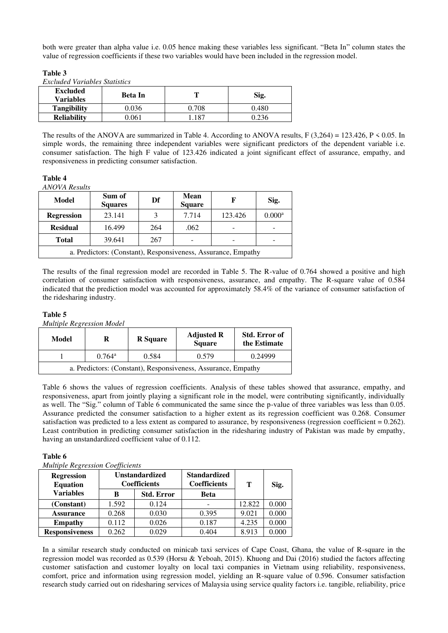both were greater than alpha value i.e. 0.05 hence making these variables less significant. "Beta In" column states the value of regression coefficients if these two variables would have been included in the regression model.

**Table 3** 

| Excluded Variables Statistics |  |
|-------------------------------|--|
|                               |  |

| <b>Excluded</b><br><b>Variables</b> | Beta In |       | Sig.  |  |
|-------------------------------------|---------|-------|-------|--|
| <b>Tangibility</b>                  | 0.036   | ).708 | 0.480 |  |
| <b>Reliability</b>                  | ).061   | 187   |       |  |

The results of the ANOVA are summarized in Table 4. According to ANOVA results,  $F(3,264) = 123.426$ ,  $P \le 0.05$ . In simple words, the remaining three independent variables were significant predictors of the dependent variable i.e. consumer satisfaction. The high F value of 123.426 indicated a joint significant effect of assurance, empathy, and responsiveness in predicting consumer satisfaction.

# **Table 4**

*ANOVA Results* 

| Model                                                         | Sum of<br><b>Squares</b> | Df  | Mean<br><b>Square</b> | F       | Sig.                 |
|---------------------------------------------------------------|--------------------------|-----|-----------------------|---------|----------------------|
| <b>Regression</b>                                             | 23.141                   |     | 7.714                 | 123.426 | $0.000$ <sup>a</sup> |
| <b>Residual</b>                                               | 16.499                   | 264 | .062                  |         |                      |
| <b>Total</b>                                                  | 39.641                   | 267 |                       |         |                      |
| a. Predictors: (Constant), Responsiveness, Assurance, Empathy |                          |     |                       |         |                      |

The results of the final regression model are recorded in Table 5. The R-value of 0.764 showed a positive and high correlation of consumer satisfaction with responsiveness, assurance, and empathy. The R-square value of 0.584 indicated that the prediction model was accounted for approximately 58.4% of the variance of consumer satisfaction of the ridesharing industry.

# **Table 5**

*Multiple Regression Model* 

| Model                                                         | R               | <b>R</b> Square | <b>Adjusted R</b><br><b>Square</b> | <b>Std. Error of</b><br>the Estimate |  |
|---------------------------------------------------------------|-----------------|-----------------|------------------------------------|--------------------------------------|--|
|                                                               | $0.764^{\rm a}$ | 0.584           | 0.579                              | 0.24999                              |  |
| a. Predictors: (Constant), Responsiveness, Assurance, Empathy |                 |                 |                                    |                                      |  |

Table 6 shows the values of regression coefficients. Analysis of these tables showed that assurance, empathy, and responsiveness, apart from jointly playing a significant role in the model, were contributing significantly, individually as well. The "Sig." column of Table 6 communicated the same since the p-value of three variables was less than 0.05. Assurance predicted the consumer satisfaction to a higher extent as its regression coefficient was 0.268. Consumer satisfaction was predicted to a less extent as compared to assurance, by responsiveness (regression coefficient = 0.262). Least contribution in predicting consumer satisfaction in the ridesharing industry of Pakistan was made by empathy, having an unstandardized coefficient value of 0.112.

# **Table 6**

*Multiple Regression Coefficients* 

| <b>Regression</b><br><b>Equation</b> |       | <b>Unstandardized</b><br><b>Coefficients</b> | <b>Standardized</b><br><b>Coefficients</b> | т      | Sig.  |
|--------------------------------------|-------|----------------------------------------------|--------------------------------------------|--------|-------|
| <b>Variables</b>                     | в     | <b>Std. Error</b>                            | <b>Beta</b>                                |        |       |
| (Constant)                           | 1.592 | 0.124                                        | -                                          | 12.822 | 0.000 |
| <b>Assurance</b>                     | 0.268 | 0.030                                        | 0.395                                      | 9.021  | 0.000 |
| <b>Empathy</b>                       | 0.112 | 0.026                                        | 0.187                                      | 4.235  | 0.000 |
| <b>Responsiveness</b>                | 0.262 | 0.029                                        | 0.404                                      | 8.913  | 0.000 |

In a similar research study conducted on minicab taxi services of Cape Coast, Ghana, the value of R-square in the regression model was recorded as 0.539 (Horsu & Yeboah, 2015). Khuong and Dai (2016) studied the factors affecting customer satisfaction and customer loyalty on local taxi companies in Vietnam using reliability, responsiveness, comfort, price and information using regression model, yielding an R-square value of 0.596. Consumer satisfaction research study carried out on ridesharing services of Malaysia using service quality factors i.e. tangible, reliability, price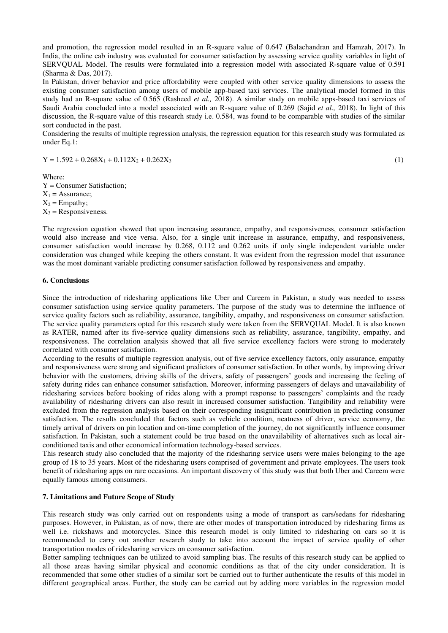and promotion, the regression model resulted in an R-square value of 0.647 (Balachandran and Hamzah, 2017). In India, the online cab industry was evaluated for consumer satisfaction by assessing service quality variables in light of SERVQUAL Model. The results were formulated into a regression model with associated R-square value of 0.591 (Sharma & Das, 2017).

In Pakistan, driver behavior and price affordability were coupled with other service quality dimensions to assess the existing consumer satisfaction among users of mobile app-based taxi services. The analytical model formed in this study had an R-square value of 0.565 (Rasheed *et al.,* 2018). A similar study on mobile apps-based taxi services of Saudi Arabia concluded into a model associated with an R-square value of 0.269 (Sajid *et al.,* 2018). In light of this discussion, the R-square value of this research study i.e. 0.584, was found to be comparable with studies of the similar sort conducted in the past.

Considering the results of multiple regression analysis, the regression equation for this research study was formulated as under Eq.1:

 $Y = 1.592 + 0.268X_1 + 0.112X_2 + 0.262X_3$  (1)

Where:

Y = Consumer Satisfaction;  $X_1$  = Assurance;  $X_2$  = Empathy;  $X_3$  = Responsiveness.

The regression equation showed that upon increasing assurance, empathy, and responsiveness, consumer satisfaction would also increase and vice versa. Also, for a single unit increase in assurance, empathy, and responsiveness, consumer satisfaction would increase by 0.268, 0.112 and 0.262 units if only single independent variable under consideration was changed while keeping the others constant. It was evident from the regression model that assurance was the most dominant variable predicting consumer satisfaction followed by responsiveness and empathy.

#### **6. Conclusions**

Since the introduction of ridesharing applications like Uber and Careem in Pakistan, a study was needed to assess consumer satisfaction using service quality parameters. The purpose of the study was to determine the influence of service quality factors such as reliability, assurance, tangibility, empathy, and responsiveness on consumer satisfaction. The service quality parameters opted for this research study were taken from the SERVQUAL Model. It is also known as RATER, named after its five-service quality dimensions such as reliability, assurance, tangibility, empathy, and responsiveness. The correlation analysis showed that all five service excellency factors were strong to moderately correlated with consumer satisfaction.

According to the results of multiple regression analysis, out of five service excellency factors, only assurance, empathy and responsiveness were strong and significant predictors of consumer satisfaction. In other words, by improving driver behavior with the customers, driving skills of the drivers, safety of passengers' goods and increasing the feeling of safety during rides can enhance consumer satisfaction. Moreover, informing passengers of delays and unavailability of ridesharing services before booking of rides along with a prompt response to passengers' complaints and the ready availability of ridesharing drivers can also result in increased consumer satisfaction. Tangibility and reliability were excluded from the regression analysis based on their corresponding insignificant contribution in predicting consumer satisfaction. The results concluded that factors such as vehicle condition, neatness of driver, service economy, the timely arrival of drivers on pin location and on-time completion of the journey, do not significantly influence consumer satisfaction. In Pakistan, such a statement could be true based on the unavailability of alternatives such as local airconditioned taxis and other economical information technology-based services.

This research study also concluded that the majority of the ridesharing service users were males belonging to the age group of 18 to 35 years. Most of the ridesharing users comprised of government and private employees. The users took benefit of ridesharing apps on rare occasions. An important discovery of this study was that both Uber and Careem were equally famous among consumers.

# **7. Limitations and Future Scope of Study**

This research study was only carried out on respondents using a mode of transport as cars/sedans for ridesharing purposes. However, in Pakistan, as of now, there are other modes of transportation introduced by ridesharing firms as well i.e. rickshaws and motorcycles. Since this research model is only limited to ridesharing on cars so it is recommended to carry out another research study to take into account the impact of service quality of other transportation modes of ridesharing services on consumer satisfaction.

Better sampling techniques can be utilized to avoid sampling bias. The results of this research study can be applied to all those areas having similar physical and economic conditions as that of the city under consideration. It is recommended that some other studies of a similar sort be carried out to further authenticate the results of this model in different geographical areas. Further, the study can be carried out by adding more variables in the regression model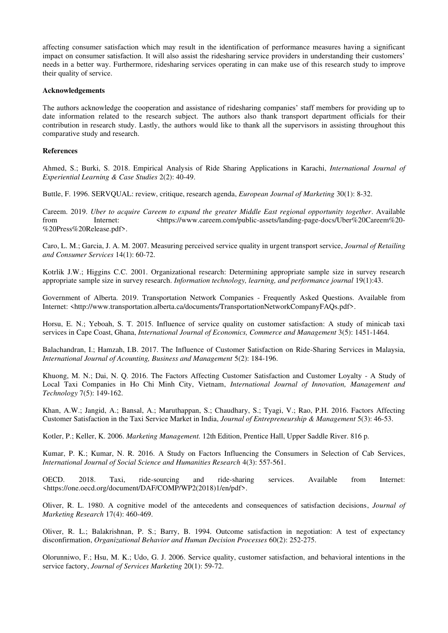affecting consumer satisfaction which may result in the identification of performance measures having a significant impact on consumer satisfaction. It will also assist the ridesharing service providers in understanding their customers' needs in a better way. Furthermore, ridesharing services operating in can make use of this research study to improve their quality of service.

#### **Acknowledgements**

The authors acknowledge the cooperation and assistance of ridesharing companies' staff members for providing up to date information related to the research subject. The authors also thank transport department officials for their contribution in research study. Lastly, the authors would like to thank all the supervisors in assisting throughout this comparative study and research.

#### **References**

Ahmed, S.; Burki, S. 2018. Empirical Analysis of Ride Sharing Applications in Karachi, *International Journal of Experiential Learning & Case Studies* 2(2): 40-49.

Buttle, F. 1996. SERVQUAL: review, critique, research agenda, *European Journal of Marketing* 30(1): 8-32.

Careem. 2019. *Uber to acquire Careem to expand the greater Middle East regional opportunity together*. Available from Internet: <https://www.careem.com/public-assets/landing-page-docs/Uber%20Careem%20- %20Press%20Release.pdf>.

Caro, L. M.; Garcia, J. A. M. 2007. Measuring perceived service quality in urgent transport service, *Journal of Retailing and Consumer Services* 14(1): 60-72.

Kotrlik J.W.; Higgins C.C. 2001. Organizational research: Determining appropriate sample size in survey research appropriate sample size in survey research. *Information technology, learning, and performance journal* 19(1):43.

Government of Alberta. 2019. Transportation Network Companies - Frequently Asked Questions. Available from Internet: <http://www.transportation.alberta.ca/documents/TransportationNetworkCompanyFAQs.pdf>.

Horsu, E. N.; Yeboah, S. T. 2015. Influence of service quality on customer satisfaction: A study of minicab taxi services in Cape Coast, Ghana, *International Journal of Economics, Commerce and Management* 3(5): 1451-1464.

Balachandran, I.; Hamzah, I.B. 2017. The Influence of Customer Satisfaction on Ride-Sharing Services in Malaysia, *International Journal of Acounting, Business and Management* 5(2): 184-196.

Khuong, M. N.; Dai, N. Q. 2016. The Factors Affecting Customer Satisfaction and Customer Loyalty - A Study of Local Taxi Companies in Ho Chi Minh City, Vietnam, *International Journal of Innovation, Management and Technology* 7(5): 149-162.

Khan, A.W.; Jangid, A.; Bansal, A.; Maruthappan, S.; Chaudhary, S.; Tyagi, V.; Rao, P.H. 2016. Factors Affecting Customer Satisfaction in the Taxi Service Market in India, *Journal of Entrepreneurship & Management* 5(3): 46-53.

Kotler, P.; Keller, K. 2006. *Marketing Management.* 12th Edition, Prentice Hall, Upper Saddle River. 816 p.

Kumar, P. K.; Kumar, N. R. 2016. A Study on Factors Influencing the Consumers in Selection of Cab Services, *International Journal of Social Science and Humanities Research* 4(3): 557-561.

OECD. 2018. Taxi, ride-sourcing and ride-sharing services. Available from Internet: <https://one.oecd.org/document/DAF/COMP/WP2(2018)1/en/pdf>.

Oliver, R. L. 1980. A cognitive model of the antecedents and consequences of satisfaction decisions, *Journal of Marketing Research* 17(4): 460-469.

Oliver, R. L.; Balakrishnan, P. S.; Barry, B. 1994. Outcome satisfaction in negotiation: A test of expectancy disconfirmation, *Organizational Behavior and Human Decision Processes* 60(2): 252-275.

Olorunniwo, F.; Hsu, M. K.; Udo, G. J. 2006. Service quality, customer satisfaction, and behavioral intentions in the service factory, *Journal of Services Marketing* 20(1): 59-72.